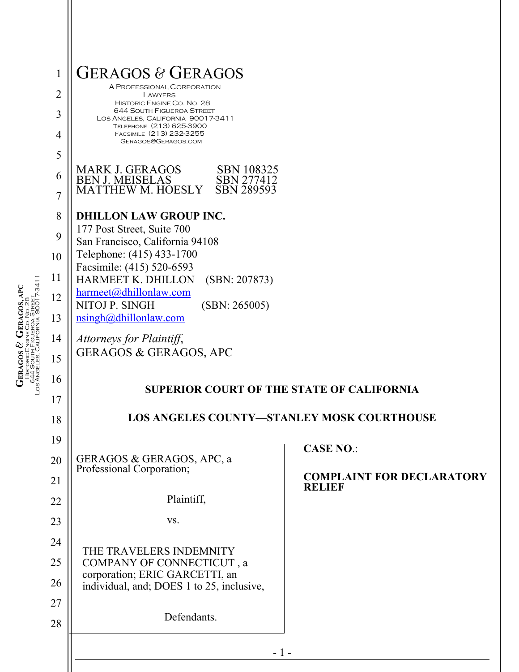| $\mathbf{1}$   | <b>GERAGOS &amp; GERAGOS</b><br>A PROFESSIONAL CORPORATION                                         |                                                  |
|----------------|----------------------------------------------------------------------------------------------------|--------------------------------------------------|
| $\overline{2}$ | LAWYERS<br>HISTORIC ENGINE CO. NO. 28                                                              |                                                  |
| 3              | <b>644 SOUTH FIGUEROA STREET</b><br>LOS ANGELES, CALIFORNIA 90017-3411<br>TELEPHONE (213) 625-3900 |                                                  |
| $\overline{4}$ | FACSIMILE (213) 232-3255<br>GERAGOS@GERAGOS.COM                                                    |                                                  |
| 5              | <b>MARK J. GERAGOS</b><br><b>SBN 108325</b>                                                        |                                                  |
| 6              | <b>BEN J. MEISELAS</b><br><b>SBN 277412</b><br>MATTHEW M. HOESLY<br><b>SBN 289593</b>              |                                                  |
| 7              |                                                                                                    |                                                  |
| 8              | <b>DHILLON LAW GROUP INC.</b><br>177 Post Street, Suite 700                                        |                                                  |
| 9              | San Francisco, California 94108<br>Telephone: (415) 433-1700                                       |                                                  |
| 10             | Facsimile: (415) 520-6593                                                                          |                                                  |
| 11<br>12       | HARMEET K. DHILLON<br>(SBN: 207873)<br>harmeet@dhillonlaw.com                                      |                                                  |
| 13             | NITOJ P. SINGH<br>(SBN: 265005)<br>nsingh@dhillonlaw.com                                           |                                                  |
| 14             |                                                                                                    |                                                  |
| 15             | Attorneys for Plaintiff,<br><b>GERAGOS &amp; GERAGOS, APC</b>                                      |                                                  |
| 16             |                                                                                                    |                                                  |
| 17             |                                                                                                    | <b>SUPERIOR COURT OF THE STATE OF CALIFORNIA</b> |
| 18             | <b>LOS ANGELES COUNTY-STANLEY MOSK COURTHOUSE</b>                                                  |                                                  |
| 19             |                                                                                                    |                                                  |
| 20             | GERAGOS & GERAGOS, APC, a                                                                          | <b>CASE NO.:</b>                                 |
| 21             | Professional Corporation;                                                                          | <b>COMPLAINT FOR DECLARATORY</b>                 |
| 22             | Plaintiff,                                                                                         | <b>RELIEF</b>                                    |
| 23             | VS.                                                                                                |                                                  |
| 24             |                                                                                                    |                                                  |
| 25             | THE TRAVELERS INDEMNITY<br>COMPANY OF CONNECTICUT, a                                               |                                                  |
| 26             | corporation; ERIC GARCETTI, an<br>individual, and; DOES 1 to 25, inclusive,                        |                                                  |
| 27             |                                                                                                    |                                                  |
| 28             | Defendants.                                                                                        |                                                  |
|                | $-1-$                                                                                              |                                                  |
|                |                                                                                                    |                                                  |

 $\begin{array}{c} \mathbf{GRAGOS} \ \mathcal{B} \\ \textcolor{red}{ \textbf{FERAGOS S}} \\ \textcolor{red}{ \textbf{HSTORICENONE CO. No. 28}} \\ \textcolor{red}{ \textbf{6459out}} \textcolor{red}{ \textbf{FIGUE CO. No. 28}} \\ \textcolor{red}{ \textbf{6450out}} \textcolor{red}{ \textbf{FIGUERO. NOL 29}} \\ \textcolor{red}{ \textbf{17-3411}} \end{array}$ Los Angeles, California 90017-3411 **GERAGOS, APC** 644 South Figueroa Street CO. NO. 28 HISTORIC ENGINE **GERAGOS &**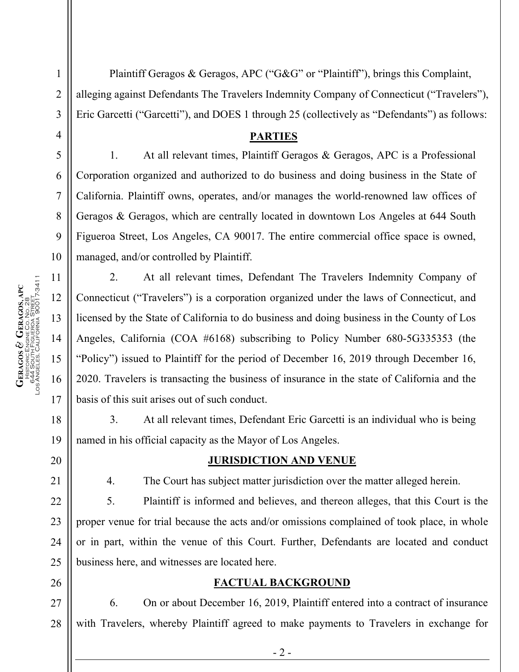2 3 4 5 6 7 8 9 10 11  $\begin{array}{c} \mathrm{GERAGOS}\ \mathcal{O}\ \mathrm{GERAGOS,} \mathrm{APC} \\ \mathrm{HISTORIC ENGINE CO, NO, 28} \\ \mathrm{S444 SOUT}, \mathrm{HSTORICERON} \mathrm{STEIT,} \\ \mathrm{OS444 SOUT}, \mathrm{HSTOROR} \mathrm{STEIT,} \\ \mathrm{OS443 SOUT} \end{array}$ Los Angeles, California 90017-3411 12 13 14 15 16 17

18

**GERAGOS &** 

HISTORIC ENGINE

644 South Figueroa Street

**GERAGOS, APC**

CO. NO. 28

19

20

21

22

23

24

25

26

1

Plaintiff Geragos & Geragos, APC ("G&G" or "Plaintiff"), brings this Complaint, alleging against Defendants The Travelers Indemnity Company of Connecticut ("Travelers"), Eric Garcetti ("Garcetti"), and DOES 1 through 25 (collectively as "Defendants") as follows:

# **PARTIES**

1. At all relevant times, Plaintiff Geragos & Geragos, APC is a Professional Corporation organized and authorized to do business and doing business in the State of California. Plaintiff owns, operates, and/or manages the world-renowned law offices of Geragos & Geragos, which are centrally located in downtown Los Angeles at 644 South Figueroa Street, Los Angeles, CA 90017. The entire commercial office space is owned, managed, and/or controlled by Plaintiff.

2. At all relevant times, Defendant The Travelers Indemnity Company of Connecticut ("Travelers") is a corporation organized under the laws of Connecticut, and licensed by the State of California to do business and doing business in the County of Los Angeles, California (COA #6168) subscribing to Policy Number 680-5G335353 (the "Policy") issued to Plaintiff for the period of December 16, 2019 through December 16, 2020. Travelers is transacting the business of insurance in the state of California and the basis of this suit arises out of such conduct.

3. At all relevant times, Defendant Eric Garcetti is an individual who is being named in his official capacity as the Mayor of Los Angeles.

## **JURISDICTION AND VENUE**

4. The Court has subject matter jurisdiction over the matter alleged herein.

5. Plaintiff is informed and believes, and thereon alleges, that this Court is the proper venue for trial because the acts and/or omissions complained of took place, in whole or in part, within the venue of this Court. Further, Defendants are located and conduct business here, and witnesses are located here.

# **FACTUAL BACKGROUND**

27 28 6. On or about December 16, 2019, Plaintiff entered into a contract of insurance with Travelers, whereby Plaintiff agreed to make payments to Travelers in exchange for

- 2 -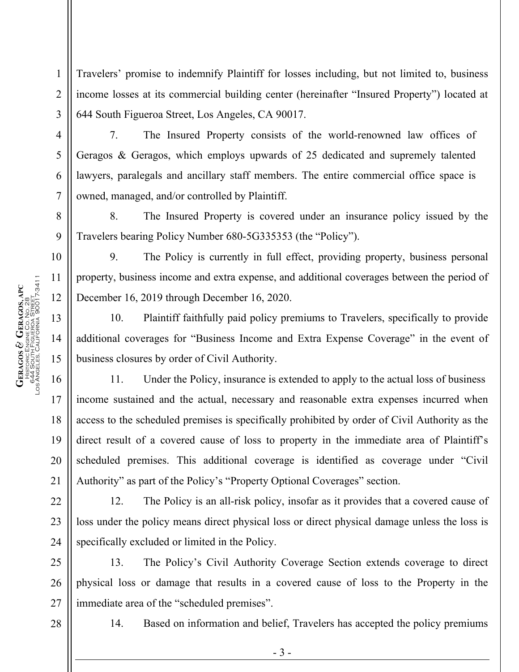Travelers' promise to indemnify Plaintiff for losses including, but not limited to, business income losses at its commercial building center (hereinafter "Insured Property") located at 644 South Figueroa Street, Los Angeles, CA 90017.

7. The Insured Property consists of the world-renowned law offices of Geragos & Geragos, which employs upwards of 25 dedicated and supremely talented lawyers, paralegals and ancillary staff members. The entire commercial office space is owned, managed, and/or controlled by Plaintiff.

8. The Insured Property is covered under an insurance policy issued by the Travelers bearing Policy Number 680-5G335353 (the "Policy").

9. The Policy is currently in full effect, providing property, business personal property, business income and extra expense, and additional coverages between the period of December 16, 2019 through December 16, 2020.

10. Plaintiff faithfully paid policy premiums to Travelers, specifically to provide additional coverages for "Business Income and Extra Expense Coverage" in the event of business closures by order of Civil Authority.

11. Under the Policy, insurance is extended to apply to the actual loss of business income sustained and the actual, necessary and reasonable extra expenses incurred when access to the scheduled premises is specifically prohibited by order of Civil Authority as the direct result of a covered cause of loss to property in the immediate area of Plaintiff's scheduled premises. This additional coverage is identified as coverage under "Civil Authority" as part of the Policy's "Property Optional Coverages" section.

12. The Policy is an all-risk policy, insofar as it provides that a covered cause of loss under the policy means direct physical loss or direct physical damage unless the loss is specifically excluded or limited in the Policy.

13. The Policy's Civil Authority Coverage Section extends coverage to direct physical loss or damage that results in a covered cause of loss to the Property in the immediate area of the "scheduled premises".

28

14. Based on information and belief, Travelers has accepted the policy premiums

1

2

3

4

5

6

7

8

9

10

11

12

13

14

15

16

17

18

19

20

21

22

23

24

25

26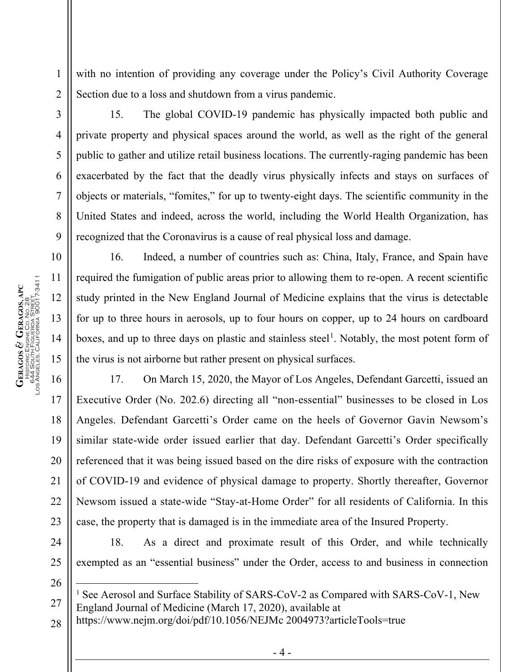with no intention of providing any coverage under the Policy's Civil Authority Coverage Section due to a loss and shutdown from a virus pandemic.

1

2

3

4

5

6

7

8

9

10

11

12

13

14

15

16

17

18

19

20

21

22

23

24

25

<span id="page-3-0"></span>26

27

15. The global COVID-19 pandemic has physically impacted both public and private property and physical spaces around the world, as well as the right of the general public to gather and utilize retail business locations. The currently-raging pandemic has been exacerbated by the fact that the deadly virus physically infects and stays on surfaces of objects or materials, "fomites," for up to twenty-eight days. The scientific community in the United States and indeed, across the world, including the World Health Organization, has recognized that the Coronavirus is a cause of real physical loss and damage.

16. Indeed, a number of countries such as: China, Italy, France, and Spain have required the fumigation of public areas prior to allowing them to re-open. A recent scientific study printed in the New England Journal of Medicine explains that the virus is detectable for up to three hours in aerosols, up to four hours on copper, up to 24 hours on cardboard boxes, and up to three days on plastic and stainless steel<sup>[1](#page-3-0)</sup>. Notably, the most potent form of the virus is not airborne but rather present on physical surfaces.

17. On March 15, 2020, the Mayor of Los Angeles, Defendant Garcetti, issued an Executive Order (No. 202.6) directing all "non-essential" businesses to be closed in Los Angeles. Defendant Garcetti's Order came on the heels of Governor Gavin Newsom's similar state-wide order issued earlier that day. Defendant Garcetti's Order specifically referenced that it was being issued based on the dire risks of exposure with the contraction of COVID-19 and evidence of physical damage to property. Shortly thereafter, Governor Newsom issued a state-wide "Stay-at-Home Order" for all residents of California. In this case, the property that is damaged is in the immediate area of the Insured Property.

18. As a direct and proximate result of this Order, and while technically exempted as an "essential business" under the Order, access to and business in connection

<sup>1</sup> See Aerosol and Surface Stability of SARS-CoV-2 as Compared with SARS-CoV-1, New England Journal of Medicine (March 17, 2020), available at

28 https://www.nejm.org/doi/pdf/10.1056/NEJMc 2004973?articleTools=true

- 4 -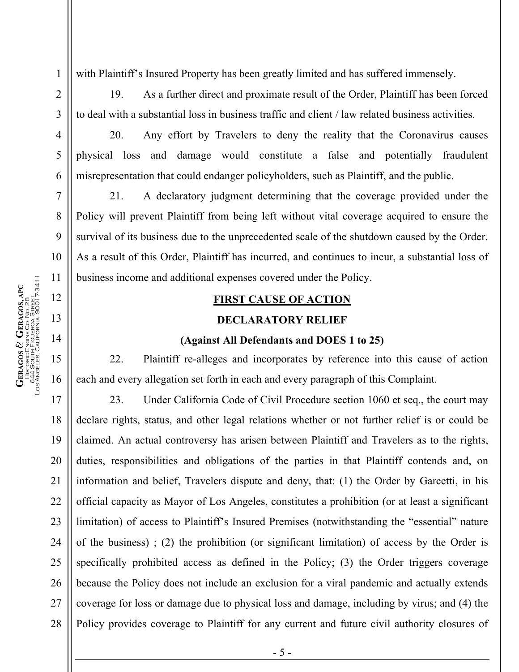with Plaintiff's Insured Property has been greatly limited and has suffered immensely.

19. As a further direct and proximate result of the Order, Plaintiff has been forced to deal with a substantial loss in business traffic and client / law related business activities.

20. Any effort by Travelers to deny the reality that the Coronavirus causes physical loss and damage would constitute a false and potentially fraudulent misrepresentation that could endanger policyholders, such as Plaintiff, and the public.

21. A declaratory judgment determining that the coverage provided under the Policy will prevent Plaintiff from being left without vital coverage acquired to ensure the survival of its business due to the unprecedented scale of the shutdown caused by the Order. As a result of this Order, Plaintiff has incurred, and continues to incur, a substantial loss of business income and additional expenses covered under the Policy.

# **FIRST CAUSE OF ACTION**

#### **DECLARATORY RELIEF**

#### **(Against All Defendants and DOES 1 to 25)**

22. Plaintiff re-alleges and incorporates by reference into this cause of action each and every allegation set forth in each and every paragraph of this Complaint.

23. Under California Code of Civil Procedure section 1060 et seq., the court may declare rights, status, and other legal relations whether or not further relief is or could be claimed. An actual controversy has arisen between Plaintiff and Travelers as to the rights, duties, responsibilities and obligations of the parties in that Plaintiff contends and, on information and belief, Travelers dispute and deny, that: (1) the Order by Garcetti, in his official capacity as Mayor of Los Angeles, constitutes a prohibition (or at least a significant limitation) of access to Plaintiff's Insured Premises (notwithstanding the "essential" nature of the business) ; (2) the prohibition (or significant limitation) of access by the Order is specifically prohibited access as defined in the Policy; (3) the Order triggers coverage because the Policy does not include an exclusion for a viral pandemic and actually extends coverage for loss or damage due to physical loss and damage, including by virus; and (4) the Policy provides coverage to Plaintiff for any current and future civil authority closures of

1

2

3

4

5

6

7

8

9

10

11

12

13

14

15

16

17

18

19

20

21

22

23

24

25

26

27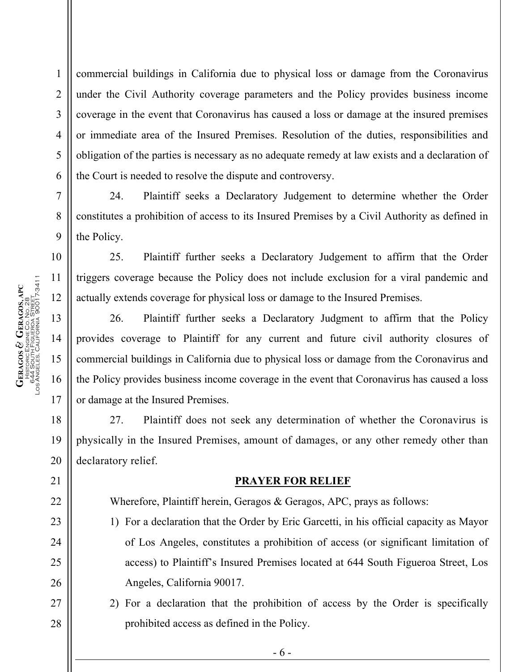commercial buildings in California due to physical loss or damage from the Coronavirus under the Civil Authority coverage parameters and the Policy provides business income coverage in the event that Coronavirus has caused a loss or damage at the insured premises or immediate area of the Insured Premises. Resolution of the duties, responsibilities and obligation of the parties is necessary as no adequate remedy at law exists and a declaration of the Court is needed to resolve the dispute and controversy.

24. Plaintiff seeks a Declaratory Judgement to determine whether the Order constitutes a prohibition of access to its Insured Premises by a Civil Authority as defined in the Policy.

25. Plaintiff further seeks a Declaratory Judgement to affirm that the Order triggers coverage because the Policy does not include exclusion for a viral pandemic and actually extends coverage for physical loss or damage to the Insured Premises.

26. Plaintiff further seeks a Declaratory Judgment to affirm that the Policy provides coverage to Plaintiff for any current and future civil authority closures of commercial buildings in California due to physical loss or damage from the Coronavirus and the Policy provides business income coverage in the event that Coronavirus has caused a loss or damage at the Insured Premises.

27. Plaintiff does not seek any determination of whether the Coronavirus is physically in the Insured Premises, amount of damages, or any other remedy other than declaratory relief.

## **PRAYER FOR RELIEF**

Wherefore, Plaintiff herein, Geragos & Geragos, APC, prays as follows:

- 1) For a declaration that the Order by Eric Garcetti, in his official capacity as Mayor of Los Angeles, constitutes a prohibition of access (or significant limitation of access) to Plaintiff's Insured Premises located at 644 South Figueroa Street, Los Angeles, California 90017.
- 2) For a declaration that the prohibition of access by the Order is specifically prohibited access as defined in the Policy.

- 6 -

1

2

3

4

5

6

7

8

9

10

11

12

13

14

15

16

17

18

19

20

21

22

23

24

25

26

27